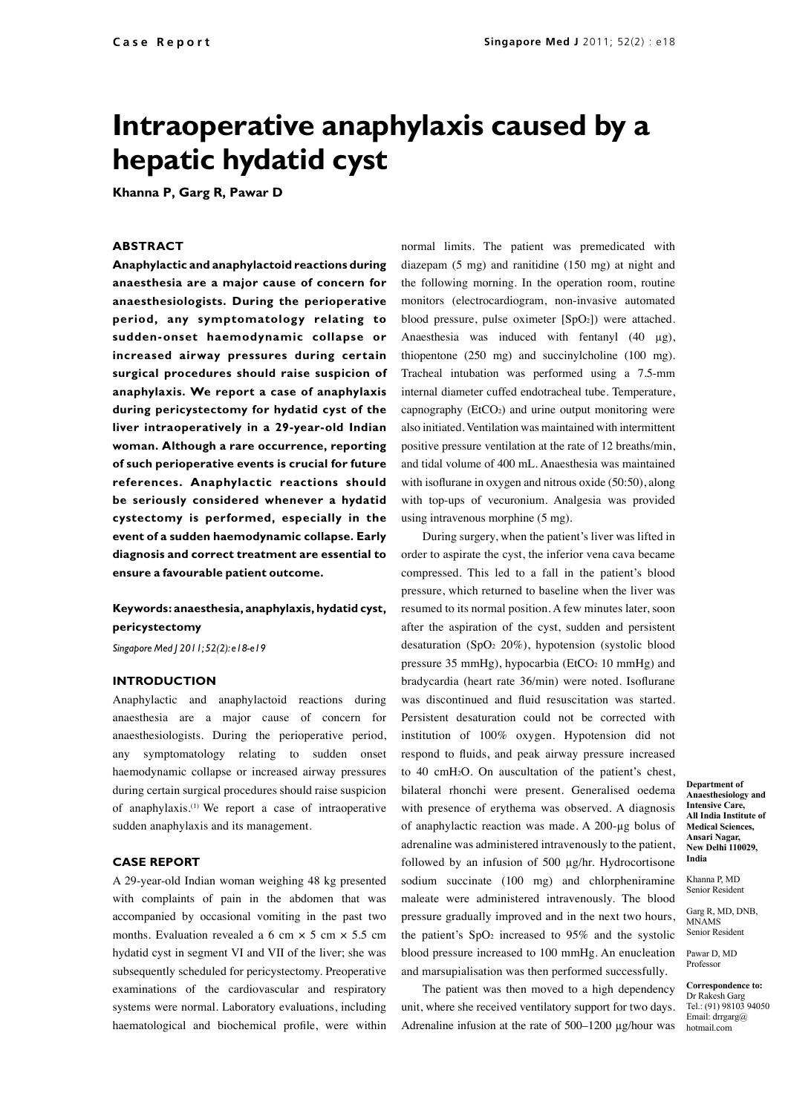# **Intraoperative anaphylaxis caused by a hepatic hydatid cyst**

**Khanna P, Garg R, Pawar D**

#### **ABSTRACT**

**Anaphylactic and anaphylactoid reactions during anaesthesia are a major cause of concern for anaesthesiologists. During the perioperative period, any symptomatology relating to sudden-onset haemodynamic collapse or increased airway pressures during certain surgical procedures should raise suspicion of anaphylaxis. We report a case of anaphylaxis during pericystectomy for hydatid cyst of the liver intraoperatively in a 29-year-old Indian woman. Although a rare occurrence, reporting of such perioperative events is crucial for future references. Anaphylactic reactions should be seriously considered whenever a hydatid cystectomy is performed, especially in the event of a sudden haemodynamic collapse. Early diagnosis and correct treatment are essential to ensure a favourable patient outcome.**

## **Keywords: anaesthesia, anaphylaxis, hydatid cyst, pericystectomy**

*Singapore Med J 2011; 52(2): e18-e19*

#### **INTRODUCTION**

Anaphylactic and anaphylactoid reactions during anaesthesia are a major cause of concern for anaesthesiologists. During the perioperative period, any symptomatology relating to sudden onset haemodynamic collapse or increased airway pressures during certain surgical procedures should raise suspicion of anaphylaxis.(1) We report a case of intraoperative sudden anaphylaxis and its management.

#### **CASE REPORT**

A 29-year-old Indian woman weighing 48 kg presented with complaints of pain in the abdomen that was accompanied by occasional vomiting in the past two months. Evaluation revealed a 6 cm  $\times$  5 cm  $\times$  5.5 cm hydatid cyst in segment VI and VII of the liver; she was subsequently scheduled for pericystectomy. Preoperative examinations of the cardiovascular and respiratory systems were normal. Laboratory evaluations, including haematological and biochemical profile, were within

normal limits. The patient was premedicated with diazepam (5 mg) and ranitidine (150 mg) at night and the following morning. In the operation room, routine monitors (electrocardiogram, non-invasive automated blood pressure, pulse oximeter  $[SpO<sub>2</sub>])$  were attached. Anaesthesia was induced with fentanyl (40 µg), thiopentone (250 mg) and succinylcholine (100 mg). Tracheal intubation was performed using a 7.5-mm internal diameter cuffed endotracheal tube. Temperature, capnography  $(EtCO<sub>2</sub>)$  and urine output monitoring were also initiated. Ventilation was maintained with intermittent positive pressure ventilation at the rate of 12 breaths/min, and tidal volume of 400 mL. Anaesthesia was maintained with isoflurane in oxygen and nitrous oxide (50:50), along with top-ups of vecuronium. Analgesia was provided using intravenous morphine (5 mg).

During surgery, when the patient's liver was lifted in order to aspirate the cyst, the inferior vena cava became compressed. This led to a fall in the patient's blood pressure, which returned to baseline when the liver was resumed to its normal position. A few minutes later, soon after the aspiration of the cyst, sudden and persistent desaturation (SpO<sub>2</sub> 20%), hypotension (systolic blood pressure 35 mmHg), hypocarbia ( $EtCO<sub>2</sub> 10 mmHg$ ) and bradycardia (heart rate 36/min) were noted. Isoflurane was discontinued and fluid resuscitation was started. Persistent desaturation could not be corrected with institution of 100% oxygen. Hypotension did not respond to fluids, and peak airway pressure increased to 40 cmH2O. On auscultation of the patient's chest, bilateral rhonchi were present. Generalised oedema with presence of erythema was observed. A diagnosis of anaphylactic reaction was made. A 200-µg bolus of adrenaline was administered intravenously to the patient, followed by an infusion of 500 µg/hr. Hydrocortisone sodium succinate (100 mg) and chlorpheniramine maleate were administered intravenously. The blood pressure gradually improved and in the next two hours, the patient's  $SpO<sub>2</sub>$  increased to 95% and the systolic blood pressure increased to 100 mmHg. An enucleation and marsupialisation was then performed successfully.

The patient was then moved to a high dependency unit, where she received ventilatory support for two days. Adrenaline infusion at the rate of 500–1200 µg/hour was

**Department of Anaesthesiology and Intensive Care, All India Institute of Medical Sciences, Ansari Nagar, New Delhi 110029, India**

Khanna P, MD Senior Resident

Garg R, MD, DNB, MNAMS Senior Resident

Pawar D, MD **Professor** 

**Correspondence to:**  Dr Rakesh Garg Tel.: (91) 98103 94050 Email: drrgarg@ hotmail.com